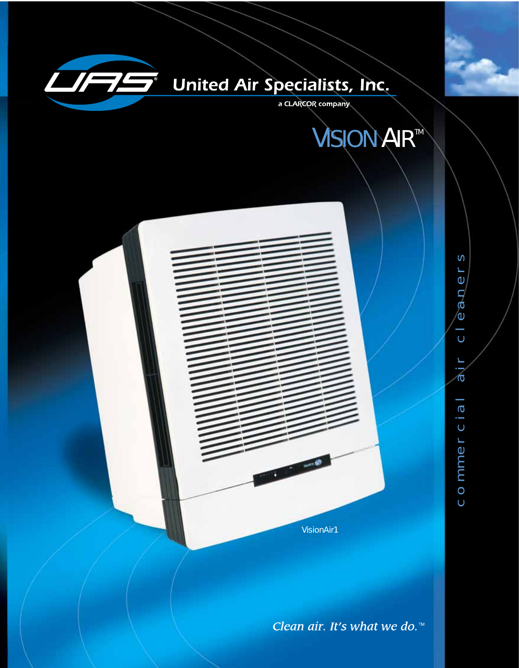

# **United Air Specialists, Inc.**

a CLARCOR company





Clean air. It's what we do.<sup>™</sup>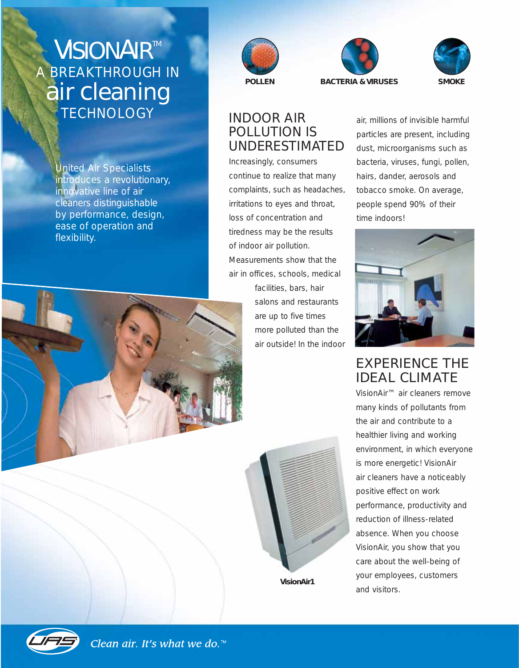# *VISIONAIRTM* A BREAKTHROUGH IN air cleaning TECHNOLOGY INDOOR AIR

United Air Specialists introduces a revolutionary, innovative line of air cleaners distinguishable by performance, design, ease of operation and flexibility.



# POLLUTION IS UNDERESTIMATED

Increasingly, consumers continue to realize that many complaints, such as headaches, irritations to eyes and throat, loss of concentration and tiredness may be the results of indoor air pollution. Measurements show that the air in offices, schools, medical facilities, bars, hair salons and restaurants are up to five times more polluted than the air outside! In the indoor





# EXPERIENCE THE IDEAL CLIMATE

VisionAir™ air cleaners remove many kinds of pollutants from the air and contribute to a healthier living and working environment, in which everyone is more energetic! VisionAir air cleaners have a noticeably positive effect on work performance, productivity and reduction of illness-related absence. When you choose VisionAir, you show that you care about the well-being of your employees, customers and visitors.





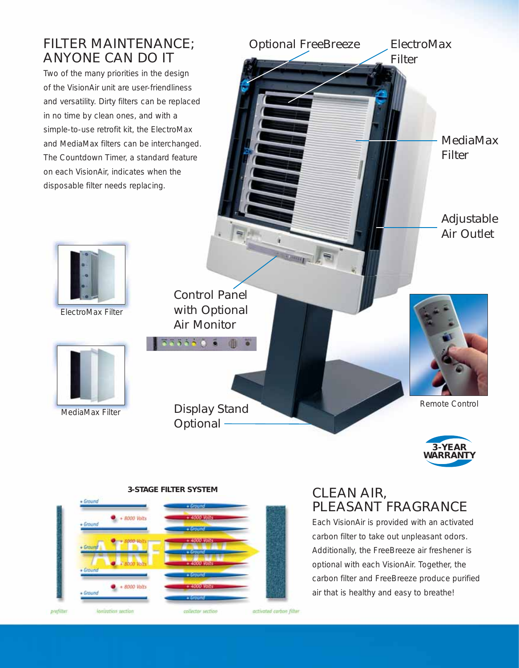# FILTER MAINTENANCE; ANYONE CAN DO IT

Two of the many priorities in the design of the VisionAir unit are user-friendliness and versatility. Dirty filters can be replaced in no time by clean ones, and with a simple-to-use retrofit kit, the ElectroMax and MediaMax filters can be interchanged. The Countdown Timer, a standard feature on each VisionAir, indicates when the disposable filter needs replacing.

*ElectroMax* 

*Filter*

*Optional FreeBreeze*

*MediaMax Filter*

*Adjustable Air Outlet*



ElectroMax Filter



MediaMax Filter

*Control Panel with Optional Air Monitor*

面

535500 6

*Display Stand Optional*



Remote Control



## · Ground  $+ 8000$  Volts **Ground**  $\bullet$  + 8000 Volts Ground prefitter activated carbon filter lonization section collector section

## CLEAN AIR, PLEASANT FRAGRANCE

Each VisionAir is provided with an activated carbon filter to take out unpleasant odors. Additionally, the FreeBreeze air freshener is optional with each VisionAir. Together, the carbon filter and FreeBreeze produce purified air that is healthy and easy to breathe!

### **3-STAGE FILTER SYSTEM**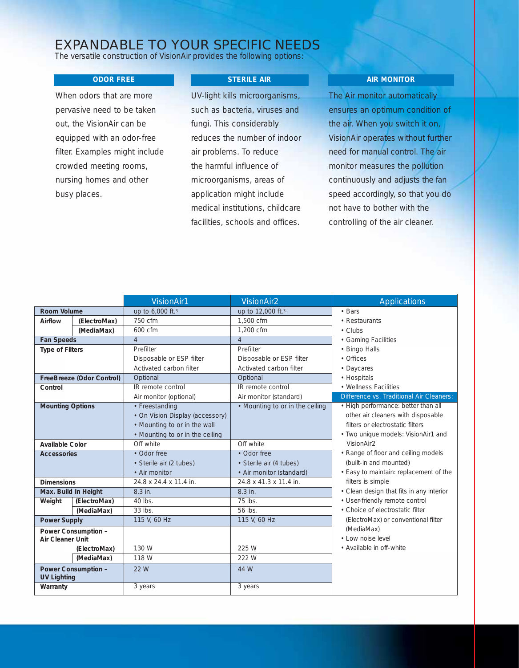### EXPANDABLE TO YOUR SPECIFIC NEEDS

The versatile construction of VisionAir provides the following options:

#### **ODOR FREE**

When odors that are more pervasive need to be taken out, the VisionAir can be equipped with an odor-free filter. Examples might include crowded meeting rooms, nursing homes and other busy places.

#### **STERILE AIR**

UV-light kills microorganisms, such as bacteria, viruses and fungi. This considerably reduces the number of indoor air problems. To reduce the harmful influence of microorganisms, areas of application might include medical institutions, childcare facilities, schools and offices.

#### **AIR MONITOR**

The Air monitor automatically ensures an optimum condition of the air. When you switch it on, VisionAir operates without further need for manual control. The air monitor measures the pollution continuously and adjusts the fan speed accordingly, so that you do not have to bother with the controlling of the air cleaner.

|                                           |              | <b>VisionAir1</b>               | <b>VisionAir2</b>               | <b>Applications</b>                      |
|-------------------------------------------|--------------|---------------------------------|---------------------------------|------------------------------------------|
| Room Volume                               |              | up to 6,000 ft.3                | up to 12,000 ft.3               | • Bars                                   |
| Airflow                                   | (ElectroMax) | 750 cfm                         | 1,500 cfm                       | • Restaurants                            |
|                                           | (MediaMax)   | 600 cfm                         | 1.200 cfm                       | $\cdot$ Clubs                            |
| <b>Fan Speeds</b>                         |              | $\overline{4}$                  | $\overline{4}$                  | • Gaming Facilities                      |
| <b>Type of Filters</b>                    |              | Prefilter                       | Prefilter                       | • Bingo Halls                            |
|                                           |              | Disposable or ESP filter        | Disposable or ESP filter        | • Offices                                |
|                                           |              | Activated carbon filter         | Activated carbon filter         | • Daycares                               |
| FreeBreeze (Odor Control)                 |              | Optional                        | Optional                        | • Hospitals                              |
| Control                                   |              | IR remote control               | IR remote control               | • Wellness Facilities                    |
|                                           |              | Air monitor (optional)          | Air monitor (standard)          | Difference vs. Traditional Air Cleaners: |
| <b>Mounting Options</b>                   |              | • Freestanding                  | • Mounting to or in the ceiling | • High performance: better than all      |
|                                           |              | • On Vision Display (accessory) |                                 | other air cleaners with disposable       |
|                                           |              | • Mounting to or in the wall    |                                 | filters or electrostatic filters         |
|                                           |              | • Mounting to or in the ceiling |                                 | · Two unique models: VisionAir1 and      |
| Available Color                           |              | Off white                       | Off white                       | VisionAir2                               |
| <b>Accessories</b>                        |              | • Odor free                     | • Odor free                     | • Range of floor and ceiling models      |
|                                           |              | • Sterile air (2 tubes)         | • Sterile air (4 tubes)         | (built-in and mounted)                   |
|                                           |              | • Air monitor                   | • Air monitor (standard)        | • Easy to maintain: replacement of the   |
| <b>Dimensions</b>                         |              | 24.8 x 24.4 x 11.4 in.          | 24.8 x 41.3 x 11.4 in.          | filters is simple                        |
| Max. Build In Height                      |              | 8.3 in.                         | 8.3 in.                         | • Clean design that fits in any interior |
| Weight                                    | (ElectroMax) | $40$ lbs.                       | 75 lbs.                         | • User-friendly remote control           |
|                                           | (MediaMax)   | $33$ lbs.                       | $56$ lbs.                       | • Choice of electrostatic filter         |
| <b>Power Supply</b>                       |              | 115 V, 60 Hz                    | 115 V, 60 Hz                    | (ElectroMax) or conventional filter      |
| Power Consumption -                       |              |                                 |                                 | (MediaMax)                               |
| Air Cleaner Unit                          |              |                                 |                                 | • Low noise level                        |
|                                           | (ElectroMax) | 130 W                           | 225 W                           | • Available in off-white                 |
|                                           | (MediaMax)   | 118 W                           | 222 W                           |                                          |
| Power Consumption -<br><b>UV Lighting</b> |              | 22 W                            | 44 W                            |                                          |
| Warranty                                  |              | 3 years                         | 3 years                         |                                          |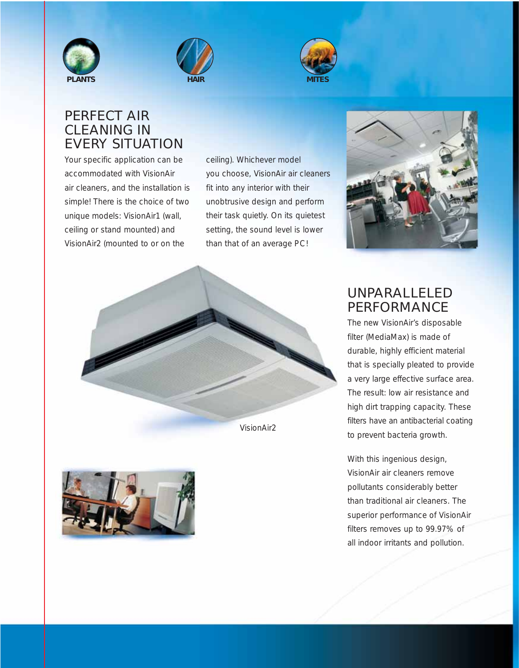





## PERFECT AIR CLEANING IN EVERY SITUATION

Your specific application can be accommodated with VisionAir air cleaners, and the installation is simple! There is the choice of two unique models: VisionAir1 (wall, ceiling or stand mounted) and VisionAir2 (mounted to or on the

ceiling). Whichever model you choose, VisionAir air cleaners fit into any interior with their unobtrusive design and perform their task quietly. On its quietest setting, the sound level is lower than that of an average PC!



VisionAir2





## UNPARALLELED PERFORMANCE

The new VisionAir's disposable filter (MediaMax) is made of durable, highly efficient material that is specially pleated to provide a very large effective surface area. The result: low air resistance and high dirt trapping capacity. These filters have an antibacterial coating to prevent bacteria growth.

With this ingenious design, VisionAir air cleaners remove pollutants considerably better than traditional air cleaners. The superior performance of VisionAir filters removes up to 99.97% of all indoor irritants and pollution.